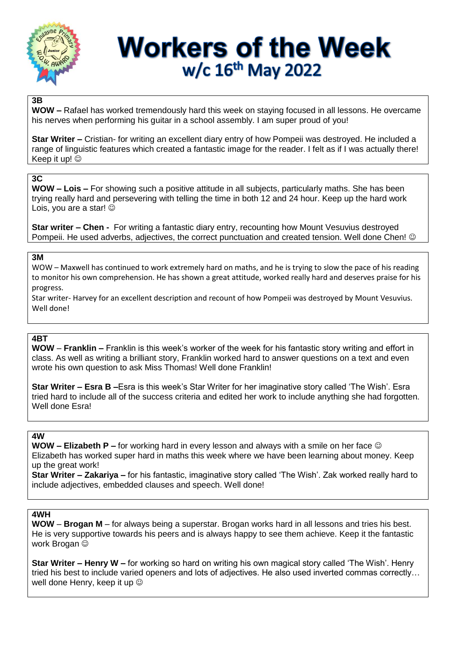

# **Workers of the Week** w/c 16<sup>th</sup> May 2022

## **3B**

**WOW –** Rafael has worked tremendously hard this week on staying focused in all lessons. He overcame his nerves when performing his guitar in a school assembly. I am super proud of you!

**Star Writer –** Cristian- for writing an excellent diary entry of how Pompeii was destroyed. He included a range of linguistic features which created a fantastic image for the reader. I felt as if I was actually there! Keep it up!  $\odot$ 

## **3C**

**WOW – Lois –** For showing such a positive attitude in all subjects, particularly maths. She has been trying really hard and persevering with telling the time in both 12 and 24 hour. Keep up the hard work Lois, you are a star!

**Star writer – Chen -** For writing a fantastic diary entry, recounting how Mount Vesuvius destroyed Pompeii. He used adverbs, adjectives, the correct punctuation and created tension. Well done Chen! ©

# **3M**

WOW – Maxwell has continued to work extremely hard on maths, and he is trying to slow the pace of his reading to monitor his own comprehension. He has shown a great attitude, worked really hard and deserves praise for his progress.

Star writer- Harvey for an excellent description and recount of how Pompeii was destroyed by Mount Vesuvius. Well done!

### **4BT**

**WOW** – **Franklin –** Franklin is this week's worker of the week for his fantastic story writing and effort in class. As well as writing a brilliant story, Franklin worked hard to answer questions on a text and even wrote his own question to ask Miss Thomas! Well done Franklin!

**Star Writer – Esra B –**Esra is this week's Star Writer for her imaginative story called 'The Wish'. Esra tried hard to include all of the success criteria and edited her work to include anything she had forgotten. Well done Esra!

#### **4W**

**WOW – Elizabeth P –** for working hard in every lesson and always with a smile on her face Elizabeth has worked super hard in maths this week where we have been learning about money. Keep up the great work!

**Star Writer – Zakariya –** for his fantastic, imaginative story called 'The Wish'. Zak worked really hard to include adjectives, embedded clauses and speech. Well done!

#### **4WH**

**WOW** – **Brogan M** – for always being a superstar. Brogan works hard in all lessons and tries his best. He is very supportive towards his peers and is always happy to see them achieve. Keep it the fantastic work Brogan  $\odot$ 

**Star Writer – Henry W –** for working so hard on writing his own magical story called 'The Wish'. Henry tried his best to include varied openers and lots of adjectives. He also used inverted commas correctly… well done Henry, keep it up  $\odot$